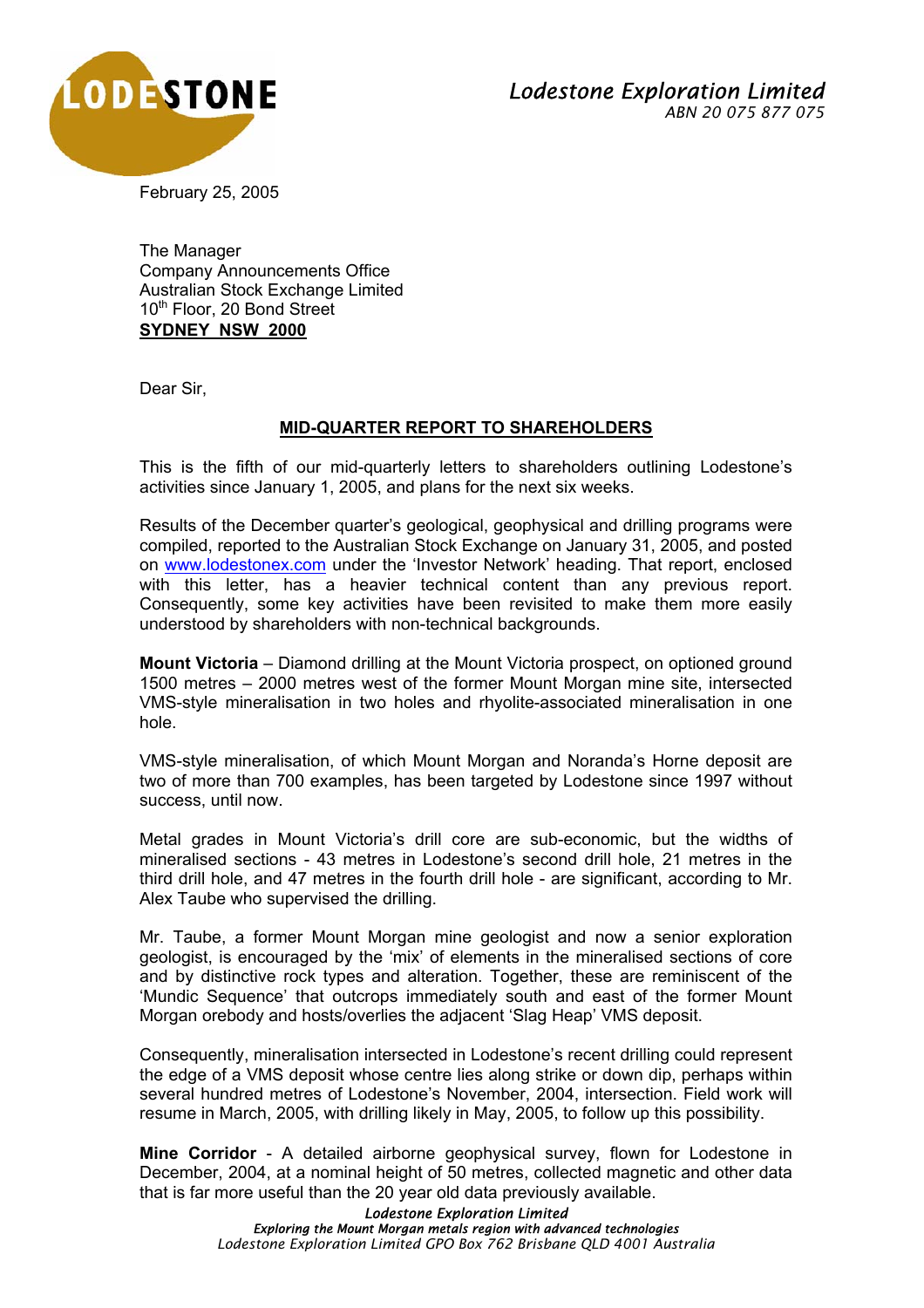

February 25, 2005

The Manager Company Announcements Office Australian Stock Exchange Limited 10<sup>th</sup> Floor, 20 Bond Street **SYDNEY NSW 2000**

Dear Sir,

## **MID-QUARTER REPORT TO SHAREHOLDERS**

This is the fifth of our mid-quarterly letters to shareholders outlining Lodestone's activities since January 1, 2005, and plans for the next six weeks.

Results of the December quarter's geological, geophysical and drilling programs were compiled, reported to the Australian Stock Exchange on January 31, 2005, and posted on www.lodestonex.com under the 'Investor Network' heading. That report, enclosed with this letter, has a heavier technical content than any previous report. Consequently, some key activities have been revisited to make them more easily understood by shareholders with non-technical backgrounds.

**Mount Victoria** – Diamond drilling at the Mount Victoria prospect, on optioned ground 1500 metres – 2000 metres west of the former Mount Morgan mine site, intersected VMS-style mineralisation in two holes and rhyolite-associated mineralisation in one hole.

VMS-style mineralisation, of which Mount Morgan and Noranda's Horne deposit are two of more than 700 examples, has been targeted by Lodestone since 1997 without success, until now.

Metal grades in Mount Victoria's drill core are sub-economic, but the widths of mineralised sections - 43 metres in Lodestone's second drill hole, 21 metres in the third drill hole, and 47 metres in the fourth drill hole - are significant, according to Mr. Alex Taube who supervised the drilling.

Mr. Taube, a former Mount Morgan mine geologist and now a senior exploration geologist, is encouraged by the 'mix' of elements in the mineralised sections of core and by distinctive rock types and alteration. Together, these are reminiscent of the 'Mundic Sequence' that outcrops immediately south and east of the former Mount Morgan orebody and hosts/overlies the adjacent 'Slag Heap' VMS deposit.

Consequently, mineralisation intersected in Lodestone's recent drilling could represent the edge of a VMS deposit whose centre lies along strike or down dip, perhaps within several hundred metres of Lodestone's November, 2004, intersection. Field work will resume in March, 2005, with drilling likely in May, 2005, to follow up this possibility.

**Mine Corridor** - A detailed airborne geophysical survey, flown for Lodestone in December, 2004, at a nominal height of 50 metres, collected magnetic and other data that is far more useful than the 20 year old data previously available.

> *Lodestone Exploration Limited Exploring the Mount Morgan metals region with advanced technologies Lodestone Exploration Limited GPO Box 762 Brisbane QLD 4001 Australia*